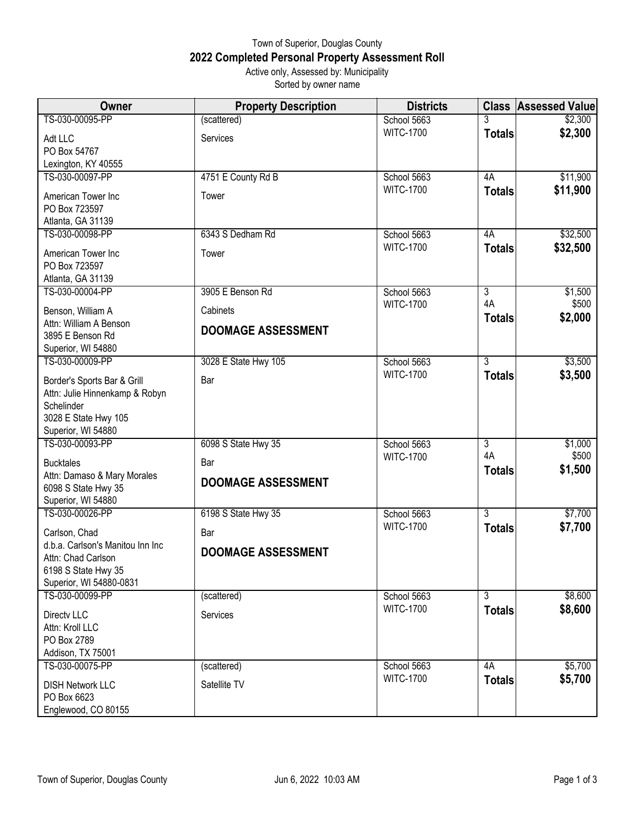## Town of Superior, Douglas County **2022 Completed Personal Property Assessment Roll** Active only, Assessed by: Municipality Sorted by owner name

| Owner                                        | <b>Property Description</b> | <b>Districts</b>                | <b>Class</b>         | <b>Assessed Value</b> |
|----------------------------------------------|-----------------------------|---------------------------------|----------------------|-----------------------|
| TS-030-00095-PP                              | (scattered)                 | School 5663                     | 3                    | \$2,300               |
| Adt LLC                                      | Services                    | <b>WITC-1700</b>                | <b>Totals</b>        | \$2,300               |
| PO Box 54767                                 |                             |                                 |                      |                       |
| Lexington, KY 40555<br>TS-030-00097-PP       |                             |                                 | 4A                   |                       |
|                                              | 4751 E County Rd B          | School 5663<br><b>WITC-1700</b> | <b>Totals</b>        | \$11,900<br>\$11,900  |
| American Tower Inc                           | Tower                       |                                 |                      |                       |
| PO Box 723597<br>Atlanta, GA 31139           |                             |                                 |                      |                       |
| TS-030-00098-PP                              | 6343 S Dedham Rd            | School 5663                     | 4A                   | \$32,500              |
| American Tower Inc                           | Tower                       | <b>WITC-1700</b>                | <b>Totals</b>        | \$32,500              |
| PO Box 723597                                |                             |                                 |                      |                       |
| Atlanta, GA 31139                            |                             |                                 |                      |                       |
| TS-030-00004-PP                              | 3905 E Benson Rd            | School 5663                     | $\overline{3}$       | \$1,500               |
| Benson, William A                            | Cabinets                    | <b>WITC-1700</b>                | 4A                   | \$500                 |
| Attn: William A Benson                       | <b>DOOMAGE ASSESSMENT</b>   |                                 | <b>Totals</b>        | \$2,000               |
| 3895 E Benson Rd                             |                             |                                 |                      |                       |
| Superior, WI 54880<br>TS-030-00009-PP        | 3028 E State Hwy 105        | School 5663                     | $\overline{3}$       | \$3,500               |
|                                              |                             | <b>WITC-1700</b>                | <b>Totals</b>        | \$3,500               |
| Border's Sports Bar & Grill                  | Bar                         |                                 |                      |                       |
| Attn: Julie Hinnenkamp & Robyn<br>Schelinder |                             |                                 |                      |                       |
| 3028 E State Hwy 105                         |                             |                                 |                      |                       |
| Superior, WI 54880                           |                             |                                 |                      |                       |
| TS-030-00093-PP                              | 6098 S State Hwy 35         | School 5663                     | $\overline{3}$<br>4A | \$1,000               |
| <b>Bucktales</b>                             | Bar                         | <b>WITC-1700</b>                | <b>Totals</b>        | \$500<br>\$1,500      |
| Attn: Damaso & Mary Morales                  | <b>DOOMAGE ASSESSMENT</b>   |                                 |                      |                       |
| 6098 S State Hwy 35<br>Superior, WI 54880    |                             |                                 |                      |                       |
| TS-030-00026-PP                              | 6198 S State Hwy 35         | School 5663                     | $\overline{3}$       | \$7,700               |
| Carlson, Chad                                | Bar                         | <b>WITC-1700</b>                | <b>Totals</b>        | \$7,700               |
| d.b.a. Carlson's Manitou Inn Inc             |                             |                                 |                      |                       |
| Attn: Chad Carlson                           | <b>DOOMAGE ASSESSMENT</b>   |                                 |                      |                       |
| 6198 S State Hwy 35                          |                             |                                 |                      |                       |
| Superior, WI 54880-0831<br>TS-030-00099-PP   |                             |                                 |                      |                       |
|                                              | (scattered)                 | School 5663<br><b>WITC-1700</b> | 3<br><b>Totals</b>   | \$8,600<br>\$8,600    |
| Directy LLC                                  | Services                    |                                 |                      |                       |
| Attn: Kroll LLC<br>PO Box 2789               |                             |                                 |                      |                       |
| Addison, TX 75001                            |                             |                                 |                      |                       |
| TS-030-00075-PP                              | (scattered)                 | School 5663                     | 4A                   | \$5,700               |
| <b>DISH Network LLC</b>                      | Satellite TV                | <b>WITC-1700</b>                | <b>Totals</b>        | \$5,700               |
| PO Box 6623                                  |                             |                                 |                      |                       |
| Englewood, CO 80155                          |                             |                                 |                      |                       |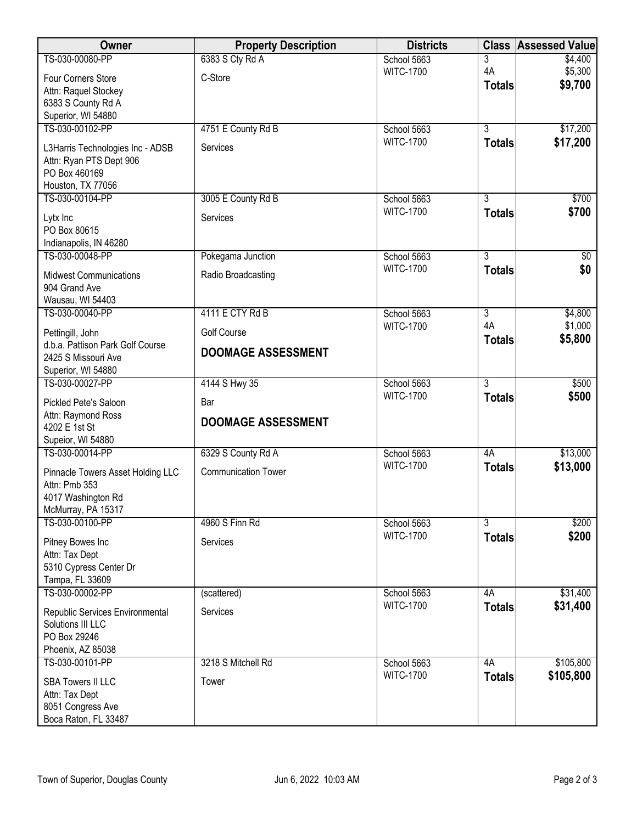| Owner                                     | <b>Property Description</b> | <b>Districts</b>                | <b>Class</b>   | <b>Assessed Value</b> |
|-------------------------------------------|-----------------------------|---------------------------------|----------------|-----------------------|
| TS-030-00080-PP                           | 6383 S Cty Rd A             | School 5663                     | 3              | \$4,400               |
| Four Corners Store                        | C-Store                     | <b>WITC-1700</b>                | 4A             | \$5,300               |
| Attn: Raquel Stockey                      |                             |                                 | <b>Totals</b>  | \$9,700               |
| 6383 S County Rd A                        |                             |                                 |                |                       |
| Superior, WI 54880                        |                             |                                 |                |                       |
| TS-030-00102-PP                           | 4751 E County Rd B          | School 5663                     | $\overline{3}$ | \$17,200              |
| L3Harris Technologies Inc - ADSB          | Services                    | <b>WITC-1700</b>                | <b>Totals</b>  | \$17,200              |
| Attn: Ryan PTS Dept 906                   |                             |                                 |                |                       |
| PO Box 460169                             |                             |                                 |                |                       |
| Houston, TX 77056<br>TS-030-00104-PP      | 3005 E County Rd B          |                                 | $\overline{3}$ | \$700                 |
|                                           |                             | School 5663<br><b>WITC-1700</b> | <b>Totals</b>  | \$700                 |
| Lytx Inc                                  | Services                    |                                 |                |                       |
| PO Box 80615                              |                             |                                 |                |                       |
| Indianapolis, IN 46280<br>TS-030-00048-PP | Pokegama Junction           | School 5663                     | $\overline{3}$ | \$0                   |
|                                           |                             | <b>WITC-1700</b>                | <b>Totals</b>  | \$0                   |
| <b>Midwest Communications</b>             | Radio Broadcasting          |                                 |                |                       |
| 904 Grand Ave<br>Wausau, WI 54403         |                             |                                 |                |                       |
| TS-030-00040-PP                           | 4111 E CTY Rd B             | School 5663                     | $\overline{3}$ | \$4,800               |
| Pettingill, John                          | <b>Golf Course</b>          | <b>WITC-1700</b>                | 4A             | \$1,000               |
| d.b.a. Pattison Park Golf Course          |                             |                                 | <b>Totals</b>  | \$5,800               |
| 2425 S Missouri Ave                       | <b>DOOMAGE ASSESSMENT</b>   |                                 |                |                       |
| Superior, WI 54880                        |                             |                                 |                |                       |
| TS-030-00027-PP                           | 4144 S Hwy 35               | School 5663                     | $\overline{3}$ | \$500                 |
| Pickled Pete's Saloon                     | Bar                         | <b>WITC-1700</b>                | <b>Totals</b>  | \$500                 |
| Attn: Raymond Ross                        | <b>DOOMAGE ASSESSMENT</b>   |                                 |                |                       |
| 4202 E 1st St                             |                             |                                 |                |                       |
| Supeior, WI 54880                         |                             |                                 |                |                       |
| TS-030-00014-PP                           | 6329 S County Rd A          | School 5663<br><b>WITC-1700</b> | 4A             | \$13,000<br>\$13,000  |
| Pinnacle Towers Asset Holding LLC         | <b>Communication Tower</b>  |                                 | <b>Totals</b>  |                       |
| Attn: Pmb 353                             |                             |                                 |                |                       |
| 4017 Washington Rd<br>McMurray, PA 15317  |                             |                                 |                |                       |
| TS-030-00100-PP                           | 4960 S Finn Rd              | School 5663                     | $\overline{3}$ | \$200                 |
|                                           |                             | <b>WITC-1700</b>                | <b>Totals</b>  | \$200                 |
| Pitney Bowes Inc<br>Attn: Tax Dept        | Services                    |                                 |                |                       |
| 5310 Cypress Center Dr                    |                             |                                 |                |                       |
| Tampa, FL 33609                           |                             |                                 |                |                       |
| TS-030-00002-PP                           | (scattered)                 | School 5663                     | 4A             | \$31,400              |
| Republic Services Environmental           | Services                    | <b>WITC-1700</b>                | <b>Totals</b>  | \$31,400              |
| Solutions III LLC                         |                             |                                 |                |                       |
| PO Box 29246                              |                             |                                 |                |                       |
| Phoenix, AZ 85038                         |                             |                                 |                |                       |
| TS-030-00101-PP                           | 3218 S Mitchell Rd          | School 5663                     | 4A             | \$105,800             |
| <b>SBA Towers II LLC</b>                  | Tower                       | <b>WITC-1700</b>                | <b>Totals</b>  | \$105,800             |
| Attn: Tax Dept                            |                             |                                 |                |                       |
| 8051 Congress Ave                         |                             |                                 |                |                       |
| Boca Raton, FL 33487                      |                             |                                 |                |                       |